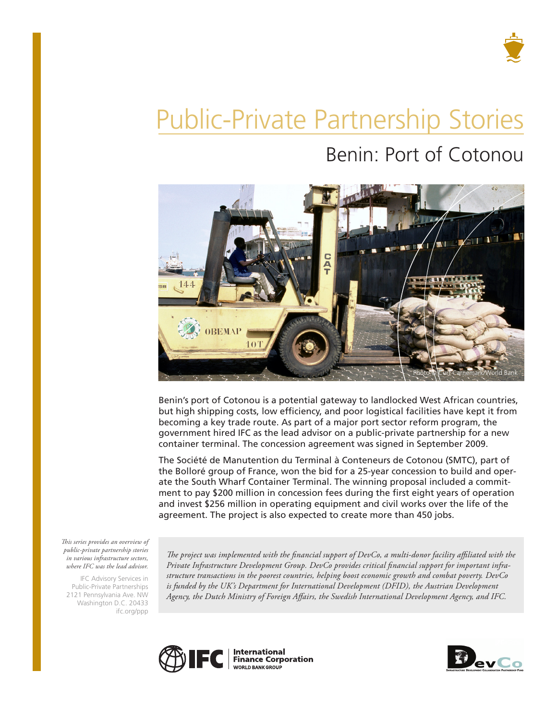

# Public-Private Partnership Stories Benin: Port of Cotonou



Benin's port of Cotonou is a potential gateway to landlocked West African countries, but high shipping costs, low efficiency, and poor logistical facilities have kept it from becoming a key trade route. As part of a major port sector reform program, the government hired IFC as the lead advisor on a public-private partnership for a new container terminal. The concession agreement was signed in September 2009.

The Société de Manutention du Terminal à Conteneurs de Cotonou (SMTC), part of the Bolloré group of France, won the bid for a 25-year concession to build and operate the South Wharf Container Terminal. The winning proposal included a commitment to pay \$200 million in concession fees during the first eight years of operation and invest \$256 million in operating equipment and civil works over the life of the agreement. The project is also expected to create more than 450 jobs.

*This series provides an overview of public-private partnership stories in various infrastructure sectors, where IFC was the lead advisor.* 

IFC Advisory Services in Public-Private Partnerships 2121 Pennsylvania Ave. NW Washington D.C. 20433 ifc.org/ppp

*The project was implemented with the financial support of DevCo, a multi-donor facility affiliated with the Private Infrastructure Development Group. DevCo provides critical financial support for important infrastructure transactions in the poorest countries, helping boost economic growth and combat poverty. DevCo*  is funded by the UK's Department for International Development (DFID), the Austrian Development *Agency, the Dutch Ministry of Foreign Affairs, the Swedish International Development Agency, and IFC.*